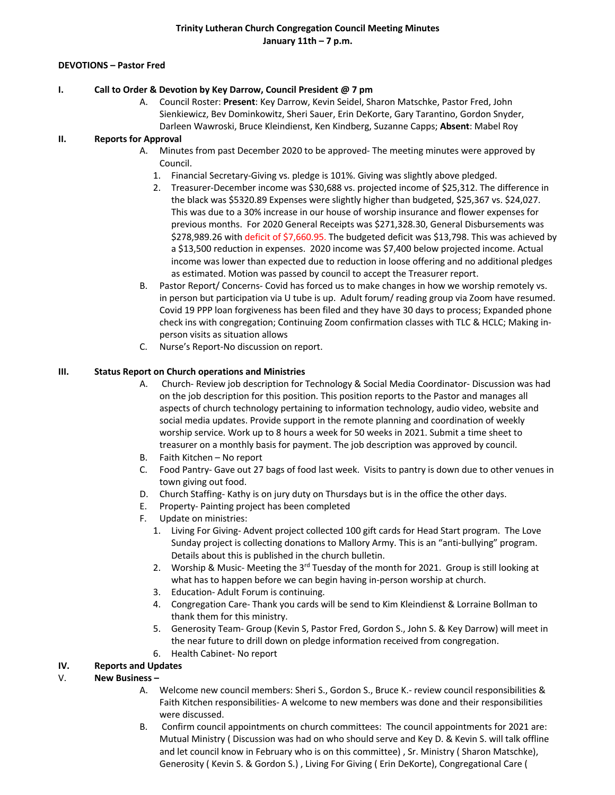#### **DEVOTIONS – Pastor Fred**

#### **I. Call to Order & Devotion by Key Darrow, Council President @ 7 pm**

A. Council Roster: **Present**: Key Darrow, Kevin Seidel, Sharon Matschke, Pastor Fred, John Sienkiewicz, Bev Dominkowitz, Sheri Sauer, Erin DeKorte, Gary Tarantino, Gordon Snyder, Darleen Wawroski, Bruce Kleindienst, Ken Kindberg, Suzanne Capps; **Absent**: Mabel Roy

## **II. Reports for Approval**

- A. Minutes from past December 2020 to be approved- The meeting minutes were approved by Council.
	- 1. Financial Secretary-Giving vs. pledge is 101%. Giving was slightly above pledged.
	- 2. Treasurer-December income was \$30,688 vs. projected income of \$25,312. The difference in the black was \$5320.89 Expenses were slightly higher than budgeted, \$25,367 vs. \$24,027. This was due to a 30% increase in our house of worship insurance and flower expenses for previous months. For 2020 General Receipts was \$271,328.30, General Disbursements was \$278,989.26 with deficit of \$7,660.95. The budgeted deficit was \$13,798. This was achieved by a \$13,500 reduction in expenses. 2020 income was \$7,400 below projected income. Actual income was lower than expected due to reduction in loose offering and no additional pledges as estimated. Motion was passed by council to accept the Treasurer report.
- B. Pastor Report/ Concerns- Covid has forced us to make changes in how we worship remotely vs. in person but participation via U tube is up. Adult forum/ reading group via Zoom have resumed. Covid 19 PPP loan forgiveness has been filed and they have 30 days to process; Expanded phone check ins with congregation; Continuing Zoom confirmation classes with TLC & HCLC; Making inperson visits as situation allows
- C. Nurse's Report-No discussion on report.

#### **III. Status Report on Church operations and Ministries**

- A. Church- Review job description for Technology & Social Media Coordinator- Discussion was had on the job description for this position. This position reports to the Pastor and manages all aspects of church technology pertaining to information technology, audio video, website and social media updates. Provide support in the remote planning and coordination of weekly worship service. Work up to 8 hours a week for 50 weeks in 2021. Submit a time sheet to treasurer on a monthly basis for payment. The job description was approved by council.
- B. Faith Kitchen No report
- C. Food Pantry- Gave out 27 bags of food last week. Visits to pantry is down due to other venues in town giving out food.
- D. Church Staffing- Kathy is on jury duty on Thursdays but is in the office the other days.
- E. Property- Painting project has been completed
- F. Update on ministries:
	- 1. Living For Giving- Advent project collected 100 gift cards for Head Start program. The Love Sunday project is collecting donations to Mallory Army. This is an "anti-bullying" program. Details about this is published in the church bulletin.
	- 2. Worship & Music- Meeting the  $3<sup>rd</sup>$  Tuesday of the month for 2021. Group is still looking at what has to happen before we can begin having in-person worship at church.
	- 3. Education- Adult Forum is continuing.
	- 4. Congregation Care- Thank you cards will be send to Kim Kleindienst & Lorraine Bollman to thank them for this ministry.
	- 5. Generosity Team- Group (Kevin S, Pastor Fred, Gordon S., John S. & Key Darrow) will meet in the near future to drill down on pledge information received from congregation.
	- 6. Health Cabinet- No report

## **IV. Reports and Updates**

## V. **New Business –**

- A. Welcome new council members: Sheri S., Gordon S., Bruce K.- review council responsibilities & Faith Kitchen responsibilities- A welcome to new members was done and their responsibilities were discussed.
- B. Confirm council appointments on church committees: The council appointments for 2021 are: Mutual Ministry ( Discussion was had on who should serve and Key D. & Kevin S. will talk offline and let council know in February who is on this committee) , Sr. Ministry ( Sharon Matschke), Generosity ( Kevin S. & Gordon S.) , Living For Giving ( Erin DeKorte), Congregational Care (